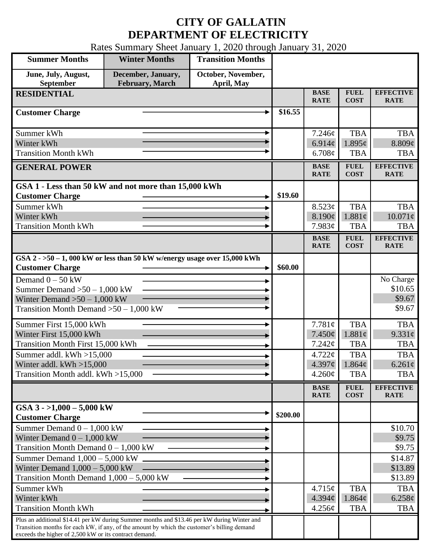## **CITY OF GALLATIN DEPARTMENT OF ELECTRICITY**

Rates Summary Sheet January 1, 2020 through January 31, 2020

| <b>Summer Months</b>                                                                                                                                                                                                                                 | <b>Winter Months</b>                  | <b>Transition Months</b>         |          |                            |                            |                                 |
|------------------------------------------------------------------------------------------------------------------------------------------------------------------------------------------------------------------------------------------------------|---------------------------------------|----------------------------------|----------|----------------------------|----------------------------|---------------------------------|
| June, July, August,<br>September                                                                                                                                                                                                                     | December, January,<br>February, March | October, November,<br>April, May |          |                            |                            |                                 |
| <b>RESIDENTIAL</b>                                                                                                                                                                                                                                   |                                       |                                  |          | <b>BASE</b><br><b>RATE</b> | <b>FUEL</b><br><b>COST</b> | <b>EFFECTIVE</b><br><b>RATE</b> |
| <b>Customer Charge</b>                                                                                                                                                                                                                               |                                       |                                  | \$16.55  |                            |                            |                                 |
| Summer kWh                                                                                                                                                                                                                                           |                                       |                                  |          | 7.246¢                     | <b>TBA</b>                 | <b>TBA</b>                      |
| Winter kWh                                                                                                                                                                                                                                           |                                       |                                  |          | 6.914 $\phi$               | $1.895\ell$                | 8.809¢                          |
| <b>Transition Month kWh</b>                                                                                                                                                                                                                          |                                       |                                  |          | 6.708¢                     | <b>TBA</b>                 | <b>TBA</b>                      |
| <b>GENERAL POWER</b>                                                                                                                                                                                                                                 |                                       |                                  |          | <b>BASE</b><br><b>RATE</b> | <b>FUEL</b><br><b>COST</b> | <b>EFFECTIVE</b><br><b>RATE</b> |
| GSA 1 - Less than 50 kW and not more than 15,000 kWh                                                                                                                                                                                                 |                                       |                                  |          |                            |                            |                                 |
| <b>Customer Charge</b>                                                                                                                                                                                                                               |                                       |                                  | \$19.60  |                            |                            |                                 |
| Summer kWh                                                                                                                                                                                                                                           |                                       |                                  |          | 8.523¢                     | <b>TBA</b>                 | <b>TBA</b>                      |
| Winter kWh<br><b>Transition Month kWh</b>                                                                                                                                                                                                            |                                       |                                  |          | 8.190¢<br>7.983¢           | 1.881¢<br><b>TBA</b>       | $10.071\ell$<br><b>TBA</b>      |
|                                                                                                                                                                                                                                                      |                                       |                                  |          | <b>BASE</b>                | <b>FUEL</b>                | <b>EFFECTIVE</b>                |
|                                                                                                                                                                                                                                                      |                                       |                                  |          | <b>RATE</b>                | <b>COST</b>                | <b>RATE</b>                     |
| GSA $2 - 50 - 1$ , 000 kW or less than 50 kW w/energy usage over 15,000 kWh<br><b>Customer Charge</b>                                                                                                                                                |                                       |                                  | \$60.00  |                            |                            |                                 |
| Demand $0 - 50$ kW                                                                                                                                                                                                                                   |                                       |                                  |          |                            |                            | No Charge                       |
| Summer Demand $>50-1,000$ kW                                                                                                                                                                                                                         |                                       |                                  |          |                            |                            | \$10.65                         |
| Winter Demand $>50 - 1,000$ kW                                                                                                                                                                                                                       |                                       |                                  |          |                            |                            | \$9.67                          |
| Transition Month Demand $>50-1,000$ kW                                                                                                                                                                                                               |                                       |                                  |          |                            |                            | \$9.67                          |
| Summer First 15,000 kWh                                                                                                                                                                                                                              |                                       |                                  |          | 7.781¢                     | <b>TBA</b>                 | <b>TBA</b>                      |
| Winter First 15,000 kWh                                                                                                                                                                                                                              |                                       |                                  |          | 7.450¢                     | 1.881c                     | $9.331\ell$                     |
| Transition Month First 15,000 kWh                                                                                                                                                                                                                    |                                       |                                  |          | 7.242¢                     | <b>TBA</b>                 | <b>TBA</b>                      |
| Summer addl. kWh >15,000                                                                                                                                                                                                                             |                                       |                                  |          | 4.722¢<br>4.397¢           | <b>TBA</b><br>1.864¢       | <b>TBA</b><br>$6.261\ell$       |
| Winter addl. $kWh > 15,000$<br>Transition Month addl. kWh >15,000                                                                                                                                                                                    |                                       |                                  |          | $4.260\phi$                | <b>TBA</b>                 | <b>TBA</b>                      |
|                                                                                                                                                                                                                                                      |                                       |                                  |          |                            | <b>FUEL</b>                | <b>EFFECTIVE</b>                |
|                                                                                                                                                                                                                                                      |                                       |                                  |          | <b>BASE</b><br><b>RATE</b> | <b>COST</b>                | <b>RATE</b>                     |
| GSA $3 - 1,000 - 5,000$ kW<br><b>Customer Charge</b>                                                                                                                                                                                                 |                                       |                                  | \$200.00 |                            |                            |                                 |
| Summer Demand $0 - 1,000$ kW                                                                                                                                                                                                                         |                                       |                                  |          |                            |                            | \$10.70                         |
| Winter Demand $0 - 1,000$ kW                                                                                                                                                                                                                         |                                       |                                  |          |                            |                            | \$9.75                          |
| Transition Month Demand $0 - 1,000$ kW                                                                                                                                                                                                               |                                       |                                  |          |                            |                            | \$9.75                          |
| Summer Demand $1,000 - 5,000$ kW<br>Winter Demand $1,000 - 5,000$ kW                                                                                                                                                                                 |                                       |                                  |          |                            |                            | \$14.87<br>\$13.89              |
| Transition Month Demand $1,000 - 5,000$ kW                                                                                                                                                                                                           |                                       |                                  |          |                            |                            | \$13.89                         |
| Summer kWh                                                                                                                                                                                                                                           |                                       |                                  |          | 4.715¢                     | <b>TBA</b>                 | <b>TBA</b>                      |
| Winter kWh                                                                                                                                                                                                                                           |                                       |                                  |          | 4.394¢                     | $1.864\phi$                | $6.258\phi$                     |
| <b>Transition Month kWh</b>                                                                                                                                                                                                                          |                                       |                                  |          | 4.256¢                     | <b>TBA</b>                 | <b>TBA</b>                      |
| Plus an additional \$14.41 per kW during Summer months and \$13.46 per kW during Winter and<br>Transition months for each kW, if any, of the amount by which the customer's billing demand<br>exceeds the higher of 2,500 kW or its contract demand. |                                       |                                  |          |                            |                            |                                 |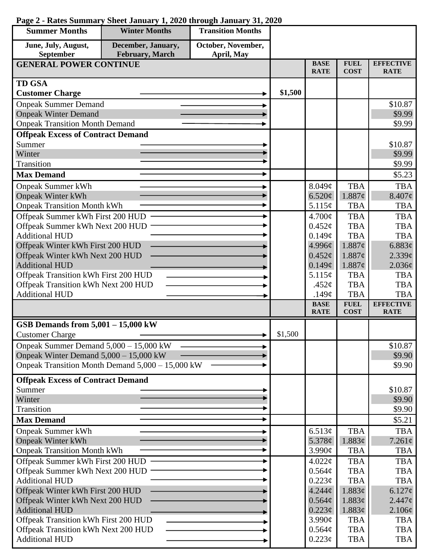| <b>Summer Months</b>                     | <b>Winter Months</b>                             | <b>Transition Months</b> |         |                            |                            |                                 |
|------------------------------------------|--------------------------------------------------|--------------------------|---------|----------------------------|----------------------------|---------------------------------|
| June, July, August,                      | December, January,                               | October, November,       |         |                            |                            |                                 |
| September                                | <b>February</b> , March                          | April, May               |         | <b>BASE</b>                | <b>FUEL</b>                | <b>EFFECTIVE</b>                |
| <b>GENERAL POWER CONTINUE</b>            |                                                  |                          |         | <b>RATE</b>                | <b>COST</b>                | <b>RATE</b>                     |
| <b>TD GSA</b>                            |                                                  |                          |         |                            |                            |                                 |
| <b>Customer Charge</b>                   |                                                  |                          | \$1,500 |                            |                            |                                 |
| <b>Onpeak Summer Demand</b>              |                                                  |                          |         |                            |                            | \$10.87                         |
| <b>Onpeak Winter Demand</b>              |                                                  |                          |         |                            |                            | \$9.99                          |
| <b>Onpeak Transition Month Demand</b>    |                                                  |                          |         |                            |                            | \$9.99                          |
| <b>Offpeak Excess of Contract Demand</b> |                                                  |                          |         |                            |                            |                                 |
| Summer                                   |                                                  |                          |         |                            |                            | \$10.87                         |
| Winter                                   |                                                  |                          |         |                            |                            | \$9.99                          |
| Transition                               |                                                  |                          |         |                            |                            | \$9.99                          |
| <b>Max Demand</b>                        |                                                  |                          |         |                            |                            | \$5.23                          |
| <b>Onpeak Summer kWh</b>                 |                                                  |                          |         | 8.049¢                     | <b>TBA</b>                 | <b>TBA</b>                      |
| <b>Onpeak Winter kWh</b>                 |                                                  |                          |         | 6.520¢                     | 1.887¢                     | $8.407\phi$                     |
| <b>Onpeak Transition Month kWh</b>       |                                                  |                          |         | 5.115¢                     | <b>TBA</b>                 | <b>TBA</b>                      |
| Offpeak Summer kWh First 200 HUD         |                                                  |                          |         | 4.700¢                     | <b>TBA</b>                 | <b>TBA</b>                      |
| Offpeak Summer kWh Next 200 HUD          |                                                  |                          |         | $0.452\varphi$             | <b>TBA</b>                 | <b>TBA</b>                      |
| <b>Additional HUD</b>                    |                                                  |                          |         | 0.149¢                     | <b>TBA</b>                 | <b>TBA</b>                      |
| Offpeak Winter kWh First 200 HUD         |                                                  |                          |         | 4.996¢                     | 1.887¢                     | 6.883¢                          |
| Offpeak Winter kWh Next 200 HUD          |                                                  |                          |         | $0.452\epsilon$            | 1.887¢                     | 2.339¢                          |
| <b>Additional HUD</b>                    |                                                  |                          |         | 0.149¢                     | 1.887¢                     | 2.036¢                          |
| Offpeak Transition kWh First 200 HUD     |                                                  |                          |         | 5.115¢                     | <b>TBA</b>                 | <b>TBA</b>                      |
| Offpeak Transition kWh Next 200 HUD      |                                                  |                          |         | .452 $\phi$                | <b>TBA</b>                 | <b>TBA</b>                      |
| <b>Additional HUD</b>                    |                                                  |                          |         | .149 $\phi$                | <b>TBA</b>                 | <b>TBA</b>                      |
|                                          |                                                  |                          |         | <b>BASE</b><br><b>RATE</b> | <b>FUEL</b><br><b>COST</b> | <b>EFFECTIVE</b><br><b>RATE</b> |
| GSB Demands from $5,001 - 15,000$ kW     |                                                  |                          |         |                            |                            |                                 |
| <b>Customer Charge</b>                   |                                                  |                          | \$1,500 |                            |                            |                                 |
| Onpeak Summer Demand 5,000 - 15,000 kW   |                                                  |                          |         |                            |                            | \$10.87                         |
| Onpeak Winter Demand $5,000 - 15,000$ kW |                                                  |                          |         |                            |                            | \$9.90                          |
|                                          | Onpeak Transition Month Demand 5,000 – 15,000 kW |                          |         |                            |                            | \$9.90                          |
| <b>Offpeak Excess of Contract Demand</b> |                                                  |                          |         |                            |                            |                                 |
| Summer                                   |                                                  |                          |         |                            |                            | \$10.87                         |
| Winter                                   |                                                  |                          |         |                            |                            | \$9.90                          |
| Transition                               |                                                  |                          |         |                            |                            | \$9.90                          |
| <b>Max Demand</b>                        |                                                  |                          |         |                            |                            | \$5.21                          |
| <b>Onpeak Summer kWh</b>                 |                                                  |                          |         | 6.513¢                     | <b>TBA</b>                 | <b>TBA</b>                      |
| <b>Onpeak Winter kWh</b>                 |                                                  |                          |         | 5.378 $\phi$               | 1.883¢                     | $7.261\ell$                     |
| <b>Onpeak Transition Month kWh</b>       |                                                  |                          |         | 3.990¢                     | <b>TBA</b>                 | <b>TBA</b>                      |
| Offpeak Summer kWh First 200 HUD         |                                                  |                          |         | 4.022¢                     | <b>TBA</b>                 | <b>TBA</b>                      |
| Offpeak Summer kWh Next 200 HUD          |                                                  |                          |         | 0.564¢                     | <b>TBA</b>                 | <b>TBA</b>                      |
| <b>Additional HUD</b>                    |                                                  |                          |         | 0.223¢                     | <b>TBA</b>                 | <b>TBA</b>                      |
| Offpeak Winter kWh First 200 HUD         |                                                  |                          |         | 4.244¢                     | 1.883¢                     | 6.127¢                          |
| Offpeak Winter kWh Next 200 HUD          |                                                  |                          |         | $0.564\phi$                | 1.883¢                     | 2.447c                          |
| <b>Additional HUD</b>                    |                                                  |                          |         | 0.223¢                     | 1.883¢                     | $2.106\phi$                     |
| Offpeak Transition kWh First 200 HUD     |                                                  |                          |         | 3.990¢                     | <b>TBA</b>                 | <b>TBA</b>                      |
| Offpeak Transition kWh Next 200 HUD      |                                                  |                          |         | 0.564¢                     | <b>TBA</b>                 | <b>TBA</b>                      |
| <b>Additional HUD</b>                    |                                                  |                          |         | $0.223\phi$                | <b>TBA</b>                 | <b>TBA</b>                      |

## **Page 2 - Rates Summary Sheet January 1, 2020 through January 31, 2020**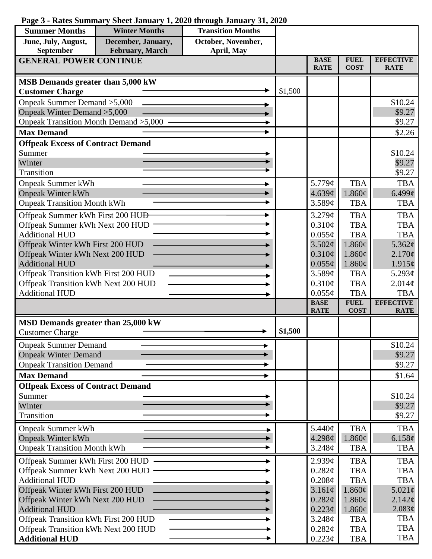## **Page 3 - Rates Summary Sheet January 1, 2020 through January 31, 2020**

| <b>Summer Months</b>                                     | <b>Winter Months</b> | <b>Transition Months</b> |         |                              |                            |                                 |
|----------------------------------------------------------|----------------------|--------------------------|---------|------------------------------|----------------------------|---------------------------------|
| June, July, August,                                      | December, January,   | October, November,       |         |                              |                            |                                 |
| <b>February</b> , March<br>September<br>April, May       |                      |                          |         |                              |                            |                                 |
| <b>GENERAL POWER CONTINUE</b>                            |                      |                          |         | <b>BASE</b><br><b>RATE</b>   | <b>FUEL</b><br><b>COST</b> | <b>EFFECTIVE</b><br><b>RATE</b> |
| MSB Demands greater than 5,000 kW                        |                      |                          |         |                              |                            |                                 |
| <b>Customer Charge</b>                                   |                      |                          | \$1,500 |                              |                            |                                 |
| Onpeak Summer Demand > 5,000                             |                      |                          |         |                              |                            | \$10.24                         |
| Onpeak Winter Demand > 5,000                             |                      |                          |         |                              |                            | \$9.27                          |
| Onpeak Transition Month Demand > 5,000                   |                      |                          |         |                              |                            | \$9.27                          |
| <b>Max Demand</b>                                        |                      |                          |         |                              |                            | \$2.26                          |
| <b>Offpeak Excess of Contract Demand</b>                 |                      |                          |         |                              |                            |                                 |
| Summer                                                   |                      |                          |         |                              |                            | \$10.24                         |
| Winter                                                   |                      |                          |         |                              |                            | \$9.27                          |
| Transition                                               |                      |                          |         |                              |                            | \$9.27                          |
| <b>Onpeak Summer kWh</b>                                 |                      |                          |         | 5.779¢                       | <b>TBA</b>                 | <b>TBA</b>                      |
| <b>Onpeak Winter kWh</b>                                 |                      |                          |         | 4.639¢                       | $1.860\phi$                | $6.499\textcirc$                |
| <b>Onpeak Transition Month kWh</b>                       |                      |                          |         | 3.589¢                       | <b>TBA</b>                 | <b>TBA</b>                      |
| Offpeak Summer kWh First 200 HU <del>D</del>             |                      |                          |         | 3.279¢                       | <b>TBA</b>                 | <b>TBA</b>                      |
| Offpeak Summer kWh Next 200 HUD                          |                      |                          |         | 0.310¢                       | <b>TBA</b>                 | <b>TBA</b>                      |
| <b>Additional HUD</b>                                    |                      |                          |         | $0.055\phi$                  | <b>TBA</b>                 | <b>TBA</b>                      |
| Offpeak Winter kWh First 200 HUD                         |                      |                          |         | 3.502¢                       | $1.860\phi$                | 5.362¢                          |
| Offpeak Winter kWh Next 200 HUD                          |                      |                          |         | $0.310\phi$                  | $1.860\phi$                | $2.170\epsilon$                 |
| <b>Additional HUD</b>                                    |                      |                          |         | $0.055\phi$                  | $1.860\phi$                | $1.915\phi$                     |
| Offpeak Transition kWh First 200 HUD                     |                      |                          |         | 3.589¢                       | <b>TBA</b>                 | 5.293 $\phi$                    |
| Offpeak Transition kWh Next 200 HUD                      |                      |                          |         | $0.310\phi$                  | <b>TBA</b>                 | 2.014¢                          |
| <b>Additional HUD</b>                                    |                      |                          |         | $0.055\phi$                  | <b>TBA</b>                 | <b>TBA</b>                      |
|                                                          |                      |                          |         | <b>BASE</b><br><b>RATE</b>   | <b>FUEL</b><br><b>COST</b> | <b>EFFECTIVE</b><br><b>RATE</b> |
| MSD Demands greater than 25,000 kW                       |                      |                          |         |                              |                            |                                 |
| <b>Customer Charge</b>                                   |                      |                          | \$1,500 |                              |                            |                                 |
| <b>Onpeak Summer Demand</b>                              |                      |                          |         |                              |                            | \$10.24                         |
| <b>Onpeak Winter Demand</b>                              |                      |                          |         |                              |                            | \$9.27                          |
| <b>Onpeak Transition Demand</b>                          |                      |                          |         |                              |                            | \$9.27                          |
| <b>Max Demand</b>                                        |                      |                          |         |                              |                            | \$1.64                          |
| <b>Offpeak Excess of Contract Demand</b>                 |                      |                          |         |                              |                            |                                 |
| Summer                                                   |                      |                          |         |                              |                            | \$10.24                         |
| Winter                                                   |                      |                          |         |                              |                            | \$9.27                          |
| Transition                                               |                      |                          |         |                              |                            | \$9.27                          |
| <b>Onpeak Summer kWh</b>                                 |                      |                          |         | 5.440¢                       | <b>TBA</b>                 | <b>TBA</b>                      |
| <b>Onpeak Winter kWh</b>                                 |                      |                          |         | 4.298¢                       | $1.860\phi$                | 6.158¢                          |
| <b>Onpeak Transition Month kWh</b>                       |                      |                          |         | 3.248¢                       | <b>TBA</b>                 | <b>TBA</b>                      |
|                                                          |                      |                          |         |                              |                            |                                 |
| Offpeak Summer kWh First 200 HUD                         |                      |                          |         | 2.939¢                       | <b>TBA</b><br><b>TBA</b>   | <b>TBA</b><br><b>TBA</b>        |
| Offpeak Summer kWh Next 200 HUD<br><b>Additional HUD</b> |                      |                          |         | 0.282¢<br>$0.208\mathcal{C}$ | <b>TBA</b>                 | <b>TBA</b>                      |
| Offpeak Winter kWh First 200 HUD                         |                      |                          |         | 3.161¢                       | $1.860\phi$                | $5.021\epsilon$                 |
| Offpeak Winter kWh Next 200 HUD                          |                      |                          |         | 0.282¢                       | $1.860\phi$                | $2.142\varphi$                  |
| <b>Additional HUD</b>                                    |                      |                          |         | $0.223\phi$                  | $1.860\phi$                | 2.083¢                          |
| Offpeak Transition kWh First 200 HUD                     |                      |                          |         | 3.248¢                       | <b>TBA</b>                 | TBA                             |
| Offpeak Transition kWh Next 200 HUD                      |                      |                          |         | 0.282¢                       | <b>TBA</b>                 | <b>TBA</b>                      |
| <b>Additional HUD</b>                                    |                      |                          |         | 0.223¢                       | <b>TBA</b>                 | <b>TBA</b>                      |